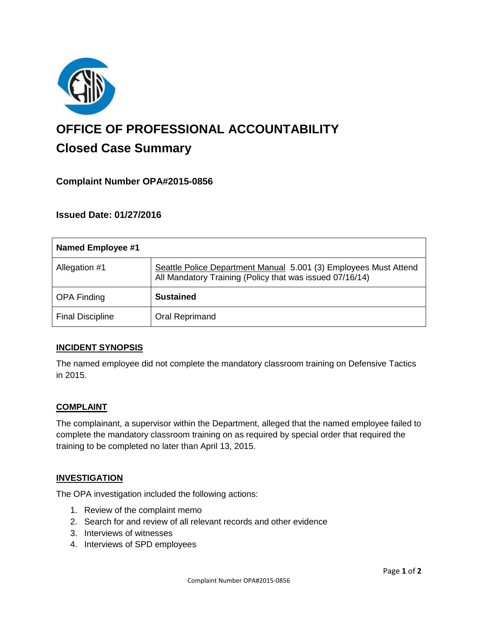

# **OFFICE OF PROFESSIONAL ACCOUNTABILITY Closed Case Summary**

## **Complaint Number OPA#2015-0856**

## **Issued Date: 01/27/2016**

| <b>Named Employee #1</b> |                                                                                                                              |
|--------------------------|------------------------------------------------------------------------------------------------------------------------------|
| Allegation #1            | Seattle Police Department Manual 5.001 (3) Employees Must Attend<br>All Mandatory Training (Policy that was issued 07/16/14) |
| <b>OPA Finding</b>       | <b>Sustained</b>                                                                                                             |
| <b>Final Discipline</b>  | <b>Oral Reprimand</b>                                                                                                        |

### **INCIDENT SYNOPSIS**

The named employee did not complete the mandatory classroom training on Defensive Tactics in 2015.

### **COMPLAINT**

The complainant, a supervisor within the Department, alleged that the named employee failed to complete the mandatory classroom training on as required by special order that required the training to be completed no later than April 13, 2015.

#### **INVESTIGATION**

The OPA investigation included the following actions:

- 1. Review of the complaint memo
- 2. Search for and review of all relevant records and other evidence
- 3. Interviews of witnesses
- 4. Interviews of SPD employees